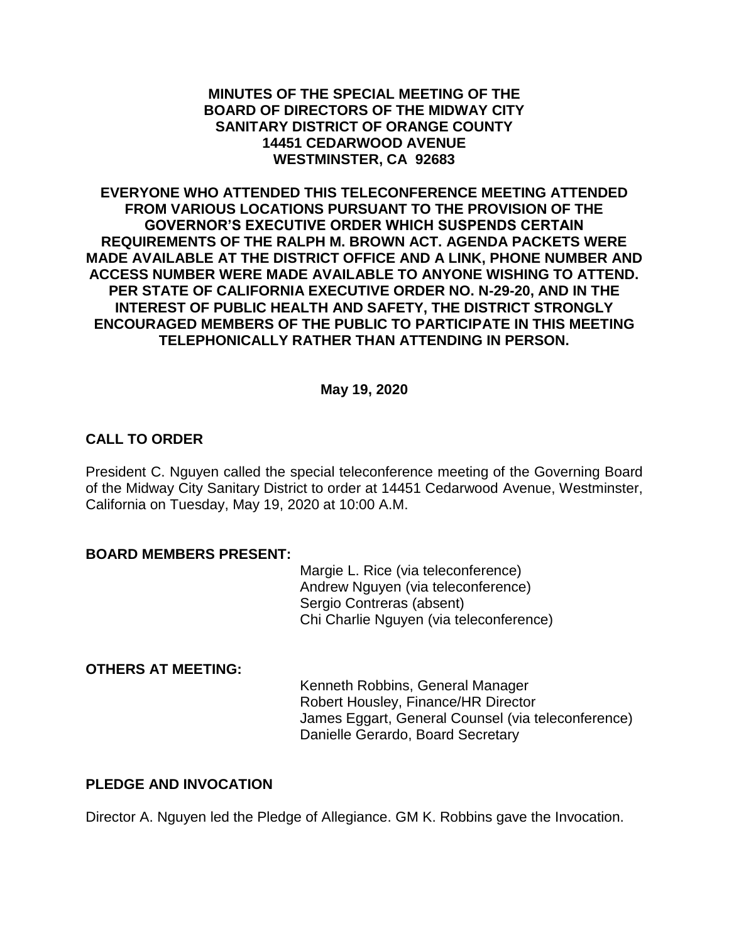#### **MINUTES OF THE SPECIAL MEETING OF THE BOARD OF DIRECTORS OF THE MIDWAY CITY SANITARY DISTRICT OF ORANGE COUNTY 14451 CEDARWOOD AVENUE WESTMINSTER, CA 92683**

**EVERYONE WHO ATTENDED THIS TELECONFERENCE MEETING ATTENDED FROM VARIOUS LOCATIONS PURSUANT TO THE PROVISION OF THE GOVERNOR'S EXECUTIVE ORDER WHICH SUSPENDS CERTAIN REQUIREMENTS OF THE RALPH M. BROWN ACT. AGENDA PACKETS WERE MADE AVAILABLE AT THE DISTRICT OFFICE AND A LINK, PHONE NUMBER AND ACCESS NUMBER WERE MADE AVAILABLE TO ANYONE WISHING TO ATTEND. PER STATE OF CALIFORNIA EXECUTIVE ORDER NO. N-29-20, AND IN THE INTEREST OF PUBLIC HEALTH AND SAFETY, THE DISTRICT STRONGLY ENCOURAGED MEMBERS OF THE PUBLIC TO PARTICIPATE IN THIS MEETING TELEPHONICALLY RATHER THAN ATTENDING IN PERSON.**

#### **May 19, 2020**

## **CALL TO ORDER**

President C. Nguyen called the special teleconference meeting of the Governing Board of the Midway City Sanitary District to order at 14451 Cedarwood Avenue, Westminster, California on Tuesday, May 19, 2020 at 10:00 A.M.

#### **BOARD MEMBERS PRESENT:**

Margie L. Rice (via teleconference) Andrew Nguyen (via teleconference) Sergio Contreras (absent) Chi Charlie Nguyen (via teleconference)

#### **OTHERS AT MEETING:**

Kenneth Robbins, General Manager Robert Housley, Finance/HR Director James Eggart, General Counsel (via teleconference) Danielle Gerardo, Board Secretary

## **PLEDGE AND INVOCATION**

Director A. Nguyen led the Pledge of Allegiance. GM K. Robbins gave the Invocation.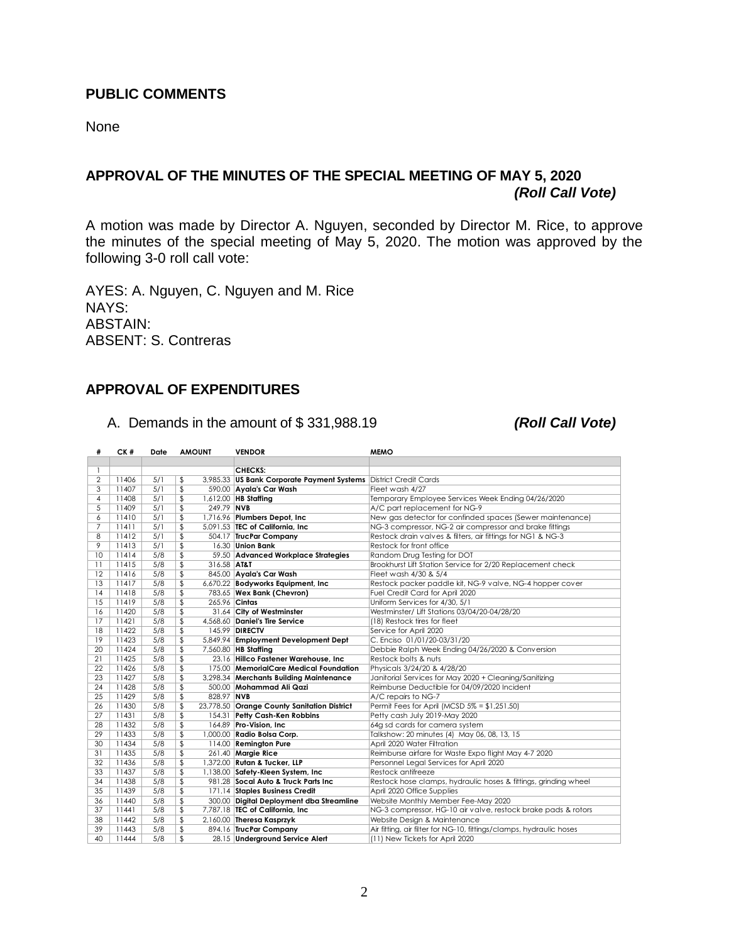## **PUBLIC COMMENTS**

None

# **APPROVAL OF THE MINUTES OF THE SPECIAL MEETING OF MAY 5, 2020** *(Roll Call Vote)*

A motion was made by Director A. Nguyen, seconded by Director M. Rice, to approve the minutes of the special meeting of May 5, 2020. The motion was approved by the following 3-0 roll call vote:

AYES: A. Nguyen, C. Nguyen and M. Rice NAYS: ABSTAIN: ABSENT: S. Contreras

#### **APPROVAL OF EXPENDITURES**

A. Demands in the amount of \$ 331,988.19 *(Roll Call Vote)*

| #  | CK#   | Date | <b>AMOUNT</b> |             | <b>VENDOR</b>                                                    | <b>MEMO</b>                                                         |
|----|-------|------|---------------|-------------|------------------------------------------------------------------|---------------------------------------------------------------------|
|    |       |      |               |             |                                                                  |                                                                     |
| 1  |       |      |               |             | <b>CHECKS:</b>                                                   |                                                                     |
| 2  | 11406 | 5/1  | \$            |             | 3,985.33 US Bank Corporate Payment Systems District Credit Cards |                                                                     |
| 3  | 11407 | 5/1  | \$            |             | 590.00 Ayala's Car Wash                                          | Fleet wash 4/27                                                     |
| 4  | 11408 | 5/1  | \$            |             | 1,612.00 HB Staffing                                             | Temporary Employee Services Week Ending 04/26/2020                  |
| 5  | 11409 | 5/1  | \$            | 249.79 NVB  |                                                                  | A/C part replacement for NG-9                                       |
| 6  | 11410 | 5/1  | \$            |             | 1,716.96 Plumbers Depot, Inc.                                    | New gas detector for confinded spaces (Sewer maintenance)           |
| 7  | 11411 | 5/1  | \$            |             | 5.091.53 TEC of California. Inc.                                 | NG-3 compressor, NG-2 air compressor and brake fittings             |
| 8  | 11412 | 5/1  | \$            |             | 504.17 TrucPar Company                                           | Restock drain valves & filters, air fittings for NG1 & NG-3         |
| 9  | 11413 | 5/1  | \$            |             | 16.30 Union Bank                                                 | Restock for front office                                            |
| 10 | 11414 | 5/8  | \$            |             | 59.50 Advanced Workplace Strategies                              | Random Drug Testing for DOT                                         |
| 11 | 11415 | 5/8  | \$            | 316.58 AT&T |                                                                  | Brookhurst Lift Station Service for 2/20 Replacement check          |
| 12 | 11416 | 5/8  | \$            |             | 845.00 Ayala's Car Wash                                          | Fleet wash 4/30 & 5/4                                               |
| 13 | 11417 | 5/8  | \$            |             | 6,670.22 Bodyworks Equipment, Inc.                               | Restock packer paddle kit, NG-9 valve, NG-4 hopper cover            |
| 4  | 11418 | 5/8  | \$            |             | 783.65 Wex Bank (Chevron)                                        | Fuel Credit Card for April 2020                                     |
| 15 | 11419 | 5/8  | \$            |             | 265.96 Cintas                                                    | Uniform Services for 4/30, 5/1                                      |
| 16 | 11420 | 5/8  | \$            |             | 31.64 City of Westminster                                        | Westminster/ Lift Stations 03/04/20-04/28/20                        |
| 17 | 11421 | 5/8  | \$            |             | 4,568.60 Daniel's Tire Service                                   | (18) Restock tires for fleet                                        |
| 18 | 11422 | 5/8  | \$            |             | 145.99 <b>DIRECTV</b>                                            | Service for April 2020                                              |
| 19 | 11423 | 5/8  | \$            |             | 5,849.94 Employment Development Dept                             | C. Enciso 01/01/20-03/31/20                                         |
| 20 | 11424 | 5/8  | \$            |             | 7,560.80 HB Staffing                                             | Debbie Ralph Week Ending 04/26/2020 & Conversion                    |
| 21 | 11425 | 5/8  | \$            |             | 23.16 Hillco Fastener Warehouse, Inc                             | Restock bolts & nuts                                                |
| 22 | 11426 | 5/8  | \$            |             | 175.00 MemorialCare Medical Foundation                           | Physicals 3/24/20 & 4/28/20                                         |
| 23 | 11427 | 5/8  | \$            |             | 3,298.34 Merchants Building Maintenance                          | Janitorial Services for May 2020 + Cleaning/Sanitizing              |
| 24 | 11428 | 5/8  | \$            |             | 500.00 Mohammad Ali Qazi                                         | Reimburse Deductible for 04/09/2020 Incident                        |
| 25 | 11429 | 5/8  | \$            | 828.97 NVB  |                                                                  | A/C repairs to NG-7                                                 |
| 26 | 11430 | 5/8  | \$            |             | 23,778.50 Orange County Sanitation District                      | Permit Fees for April (MCSD 5% = \$1,251.50)                        |
| 27 | 11431 | 5/8  | \$            |             | 154.31 Petty Cash-Ken Robbins                                    | Petty cash July 2019-May 2020                                       |
| 28 | 11432 | 5/8  | \$            |             | 164.89 Pro-Vision, Inc.                                          | 64g sd cards for camera system                                      |
| 29 | 11433 | 5/8  | \$            |             | 1,000.00 Radio Bolsa Corp.                                       | Talkshow: 20 minutes (4) May 06, 08, 13, 15                         |
| 30 | 11434 | 5/8  | \$            |             | 114.00 Remington Pure                                            | April 2020 Water Filtration                                         |
| 31 | 11435 | 5/8  | \$            |             | 261.40 Margie Rice                                               | Reimburse airfare for Waste Expo flight May 4-7 2020                |
| 32 | 11436 | 5/8  | \$            |             | 1,372.00 Rutan & Tucker, LLP                                     | Personnel Legal Services for April 2020                             |
| 33 | 11437 | 5/8  | \$            |             | 1,138.00 Safety-Kleen System, Inc                                | Restock antifreeze                                                  |
| 34 | 11438 | 5/8  | \$            |             | 981.28 Socal Auto & Truck Parts Inc                              | Restock hose clamps, hydraulic hoses & fittings, grinding wheel     |
| 35 | 11439 | 5/8  | \$            |             | 171.14 Staples Business Credit                                   | April 2020 Office Supplies                                          |
| 36 | 11440 | 5/8  | \$            |             | 300.00 Digital Deployment dba Streamline                         | Website Monthly Member Fee-May 2020                                 |
| 37 | 11441 | 5/8  | \$            |             | 7,787.18 TEC of California, Inc.                                 | NG-3 compressor, HG-10 air valve, restock brake pads & rotors       |
| 38 | 11442 | 5/8  | \$            |             | 2,160.00 Theresa Kasprzyk                                        | Website Design & Maintenance                                        |
| 39 | 11443 | 5/8  | \$            |             | 894.16 TrucPar Company                                           | Air fitting, air filter for NG-10, fittings/clamps, hydraulic hoses |
| 40 | 11444 | 5/8  | \$            |             | 28.15 Underground Service Alert                                  | (11) New Tickets for April 2020                                     |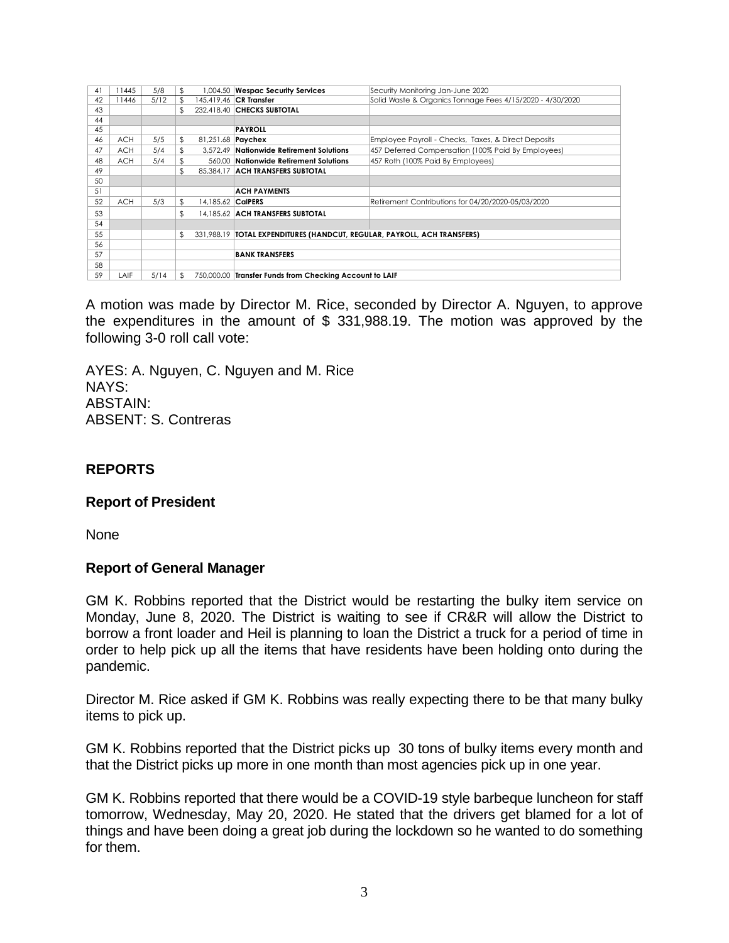| 41 | 11445      | 5/8  | £.  |                          | 1,004.50 Wespac Security Services                                          | Security Monitoring Jan-June 2020                         |  |
|----|------------|------|-----|--------------------------|----------------------------------------------------------------------------|-----------------------------------------------------------|--|
| 42 | 11446      | 5/12 |     |                          | 145,419.46 CR Transfer                                                     | Solid Waste & Organics Tonnage Fees 4/15/2020 - 4/30/2020 |  |
| 43 |            |      | \$. |                          | 232.418.40 CHECKS SUBTOTAL                                                 |                                                           |  |
| 44 |            |      |     |                          |                                                                            |                                                           |  |
| 45 |            |      |     |                          | <b>PAYROLL</b>                                                             |                                                           |  |
| 46 | <b>ACH</b> | 5/5  | \$  | 81,251.68 <b>Paychex</b> |                                                                            | Employee Payroll - Checks, Taxes, & Direct Deposits       |  |
| 47 | <b>ACH</b> | 5/4  | \$  |                          | 3.572.49 Nationwide Retirement Solutions                                   | 457 Deferred Compensation (100% Paid By Employees)        |  |
| 48 | <b>ACH</b> | 5/4  |     |                          | 560.00 Nationwide Retirement Solutions                                     | 457 Roth (100% Paid By Employees)                         |  |
| 49 |            |      | \$  |                          | 85.384.17 ACH TRANSFERS SUBTOTAL                                           |                                                           |  |
| 50 |            |      |     |                          |                                                                            |                                                           |  |
| 51 |            |      |     |                          | <b>ACH PAYMENTS</b>                                                        |                                                           |  |
| 52 | <b>ACH</b> | 5/3  | \$. | 14.185.62 CalPERS        |                                                                            | Retirement Contributions for 04/20/2020-05/03/2020        |  |
| 53 |            |      | \$  |                          | 14.185.62 ACH TRANSFERS SUBTOTAL                                           |                                                           |  |
| 54 |            |      |     |                          |                                                                            |                                                           |  |
| 55 |            |      | \$  |                          | 331,988.19   TOTAL EXPENDITURES (HANDCUT, REGULAR, PAYROLL, ACH TRANSFERS) |                                                           |  |
| 56 |            |      |     |                          |                                                                            |                                                           |  |
| 57 |            |      |     |                          | <b>BANK TRANSFERS</b>                                                      |                                                           |  |
| 58 |            |      |     |                          |                                                                            |                                                           |  |
| 59 | LAIF       | 5/14 | \$  |                          | 750,000.00 Transfer Funds from Checking Account to LAIF                    |                                                           |  |

A motion was made by Director M. Rice, seconded by Director A. Nguyen, to approve the expenditures in the amount of \$ 331,988.19. The motion was approved by the following 3-0 roll call vote:

AYES: A. Nguyen, C. Nguyen and M. Rice NAYS: ABSTAIN: ABSENT: S. Contreras

## **REPORTS**

## **Report of President**

None

## **Report of General Manager**

GM K. Robbins reported that the District would be restarting the bulky item service on Monday, June 8, 2020. The District is waiting to see if CR&R will allow the District to borrow a front loader and Heil is planning to loan the District a truck for a period of time in order to help pick up all the items that have residents have been holding onto during the pandemic.

Director M. Rice asked if GM K. Robbins was really expecting there to be that many bulky items to pick up.

GM K. Robbins reported that the District picks up 30 tons of bulky items every month and that the District picks up more in one month than most agencies pick up in one year.

GM K. Robbins reported that there would be a COVID-19 style barbeque luncheon for staff tomorrow, Wednesday, May 20, 2020. He stated that the drivers get blamed for a lot of things and have been doing a great job during the lockdown so he wanted to do something for them.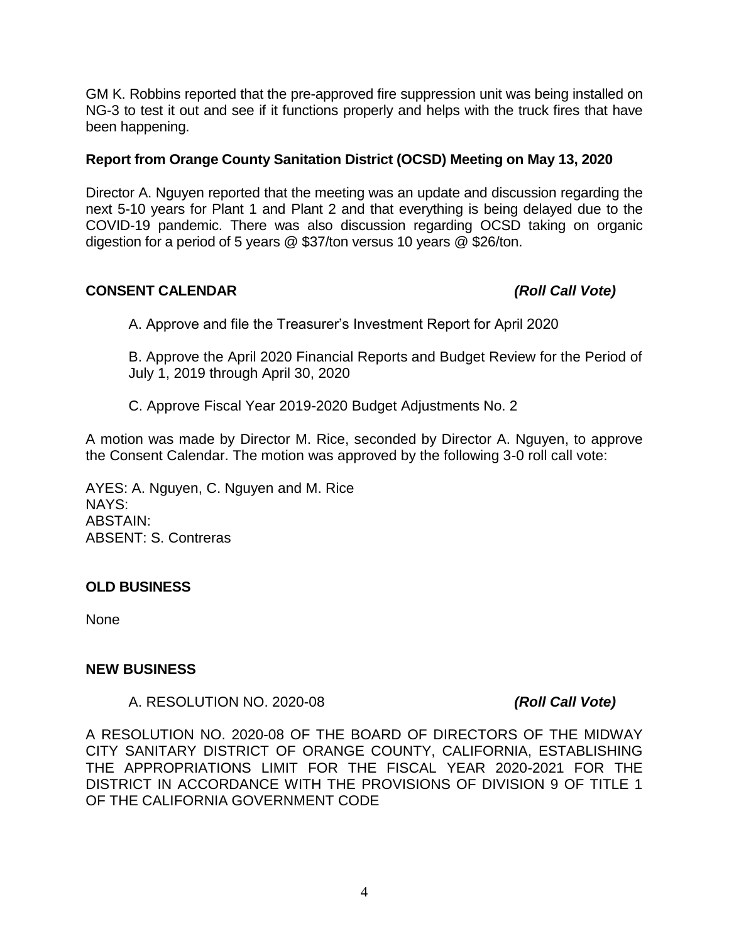GM K. Robbins reported that the pre-approved fire suppression unit was being installed on NG-3 to test it out and see if it functions properly and helps with the truck fires that have been happening.

## **Report from Orange County Sanitation District (OCSD) Meeting on May 13, 2020**

Director A. Nguyen reported that the meeting was an update and discussion regarding the next 5-10 years for Plant 1 and Plant 2 and that everything is being delayed due to the COVID-19 pandemic. There was also discussion regarding OCSD taking on organic digestion for a period of 5 years @ \$37/ton versus 10 years @ \$26/ton.

# **CONSENT CALENDAR** *(Roll Call Vote)*

A. Approve and file the Treasurer's Investment Report for April 2020

B. Approve the April 2020 Financial Reports and Budget Review for the Period of July 1, 2019 through April 30, 2020

C. Approve Fiscal Year 2019-2020 Budget Adjustments No. 2

A motion was made by Director M. Rice, seconded by Director A. Nguyen, to approve the Consent Calendar. The motion was approved by the following 3-0 roll call vote:

AYES: A. Nguyen, C. Nguyen and M. Rice NAYS: ABSTAIN: ABSENT: S. Contreras

## **OLD BUSINESS**

None

## **NEW BUSINESS**

A. RESOLUTION NO. 2020-08 *(Roll Call Vote)*

A RESOLUTION NO. 2020-08 OF THE BOARD OF DIRECTORS OF THE MIDWAY CITY SANITARY DISTRICT OF ORANGE COUNTY, CALIFORNIA, ESTABLISHING THE APPROPRIATIONS LIMIT FOR THE FISCAL YEAR 2020-2021 FOR THE DISTRICT IN ACCORDANCE WITH THE PROVISIONS OF DIVISION 9 OF TITLE 1 OF THE CALIFORNIA GOVERNMENT CODE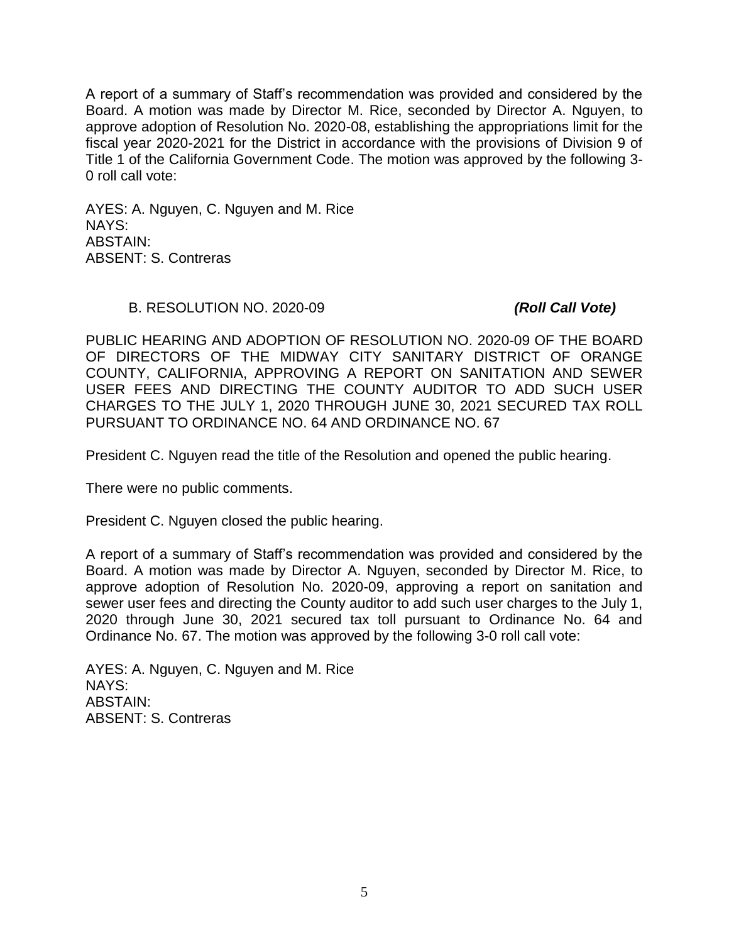A report of a summary of Staff's recommendation was provided and considered by the Board. A motion was made by Director M. Rice, seconded by Director A. Nguyen, to approve adoption of Resolution No. 2020-08, establishing the appropriations limit for the fiscal year 2020-2021 for the District in accordance with the provisions of Division 9 of Title 1 of the California Government Code. The motion was approved by the following 3- 0 roll call vote:

AYES: A. Nguyen, C. Nguyen and M. Rice NAYS: ABSTAIN: ABSENT: S. Contreras

#### B. RESOLUTION NO. 2020-09 *(Roll Call Vote)*

PUBLIC HEARING AND ADOPTION OF RESOLUTION NO. 2020-09 OF THE BOARD OF DIRECTORS OF THE MIDWAY CITY SANITARY DISTRICT OF ORANGE COUNTY, CALIFORNIA, APPROVING A REPORT ON SANITATION AND SEWER USER FEES AND DIRECTING THE COUNTY AUDITOR TO ADD SUCH USER CHARGES TO THE JULY 1, 2020 THROUGH JUNE 30, 2021 SECURED TAX ROLL PURSUANT TO ORDINANCE NO. 64 AND ORDINANCE NO. 67

President C. Nguyen read the title of the Resolution and opened the public hearing.

There were no public comments.

President C. Nguyen closed the public hearing.

A report of a summary of Staff's recommendation was provided and considered by the Board. A motion was made by Director A. Nguyen, seconded by Director M. Rice, to approve adoption of Resolution No. 2020-09, approving a report on sanitation and sewer user fees and directing the County auditor to add such user charges to the July 1, 2020 through June 30, 2021 secured tax toll pursuant to Ordinance No. 64 and Ordinance No. 67. The motion was approved by the following 3-0 roll call vote:

AYES: A. Nguyen, C. Nguyen and M. Rice NAYS: ABSTAIN: ABSENT: S. Contreras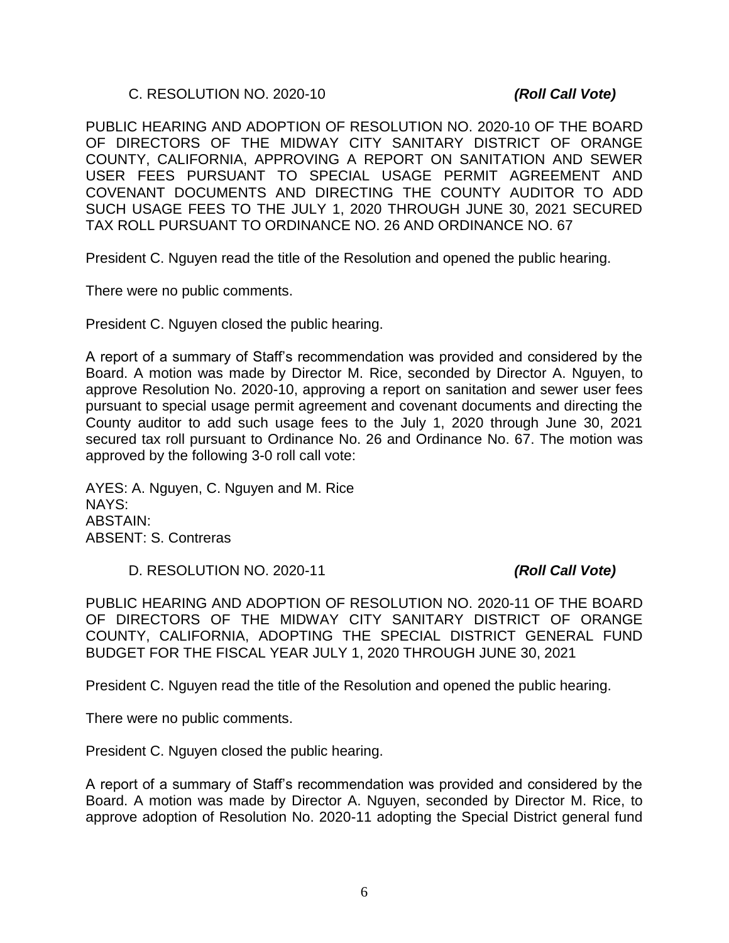#### C. RESOLUTION NO. 2020-10 *(Roll Call Vote)*

PUBLIC HEARING AND ADOPTION OF RESOLUTION NO. 2020-10 OF THE BOARD OF DIRECTORS OF THE MIDWAY CITY SANITARY DISTRICT OF ORANGE COUNTY, CALIFORNIA, APPROVING A REPORT ON SANITATION AND SEWER USER FEES PURSUANT TO SPECIAL USAGE PERMIT AGREEMENT AND COVENANT DOCUMENTS AND DIRECTING THE COUNTY AUDITOR TO ADD SUCH USAGE FEES TO THE JULY 1, 2020 THROUGH JUNE 30, 2021 SECURED TAX ROLL PURSUANT TO ORDINANCE NO. 26 AND ORDINANCE NO. 67

President C. Nguyen read the title of the Resolution and opened the public hearing.

There were no public comments.

President C. Nguyen closed the public hearing.

A report of a summary of Staff's recommendation was provided and considered by the Board. A motion was made by Director M. Rice, seconded by Director A. Nguyen, to approve Resolution No. 2020-10, approving a report on sanitation and sewer user fees pursuant to special usage permit agreement and covenant documents and directing the County auditor to add such usage fees to the July 1, 2020 through June 30, 2021 secured tax roll pursuant to Ordinance No. 26 and Ordinance No. 67. The motion was approved by the following 3-0 roll call vote:

AYES: A. Nguyen, C. Nguyen and M. Rice NAYS: ABSTAIN: ABSENT: S. Contreras

D. RESOLUTION NO. 2020-11 *(Roll Call Vote)*

PUBLIC HEARING AND ADOPTION OF RESOLUTION NO. 2020-11 OF THE BOARD OF DIRECTORS OF THE MIDWAY CITY SANITARY DISTRICT OF ORANGE COUNTY, CALIFORNIA, ADOPTING THE SPECIAL DISTRICT GENERAL FUND BUDGET FOR THE FISCAL YEAR JULY 1, 2020 THROUGH JUNE 30, 2021

President C. Nguyen read the title of the Resolution and opened the public hearing.

There were no public comments.

President C. Nguyen closed the public hearing.

A report of a summary of Staff's recommendation was provided and considered by the Board. A motion was made by Director A. Nguyen, seconded by Director M. Rice, to approve adoption of Resolution No. 2020-11 adopting the Special District general fund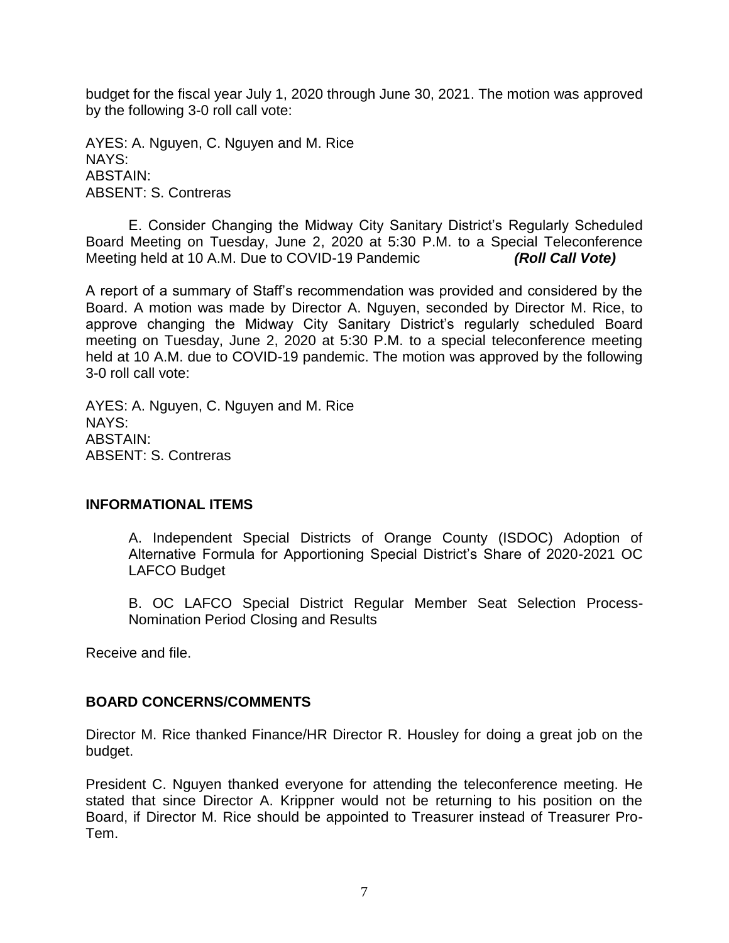budget for the fiscal year July 1, 2020 through June 30, 2021. The motion was approved by the following 3-0 roll call vote:

AYES: A. Nguyen, C. Nguyen and M. Rice NAYS: ABSTAIN: ABSENT: S. Contreras

E. Consider Changing the Midway City Sanitary District's Regularly Scheduled Board Meeting on Tuesday, June 2, 2020 at 5:30 P.M. to a Special Teleconference Meeting held at 10 A.M. Due to COVID-19 Pandemic *(Roll Call Vote)*

A report of a summary of Staff's recommendation was provided and considered by the Board. A motion was made by Director A. Nguyen, seconded by Director M. Rice, to approve changing the Midway City Sanitary District's regularly scheduled Board meeting on Tuesday, June 2, 2020 at 5:30 P.M. to a special teleconference meeting held at 10 A.M. due to COVID-19 pandemic. The motion was approved by the following 3-0 roll call vote:

AYES: A. Nguyen, C. Nguyen and M. Rice NAYS: ABSTAIN: ABSENT: S. Contreras

#### **INFORMATIONAL ITEMS**

A. Independent Special Districts of Orange County (ISDOC) Adoption of Alternative Formula for Apportioning Special District's Share of 2020-2021 OC LAFCO Budget

B. OC LAFCO Special District Regular Member Seat Selection Process-Nomination Period Closing and Results

Receive and file.

## **BOARD CONCERNS/COMMENTS**

Director M. Rice thanked Finance/HR Director R. Housley for doing a great job on the budget.

President C. Nguyen thanked everyone for attending the teleconference meeting. He stated that since Director A. Krippner would not be returning to his position on the Board, if Director M. Rice should be appointed to Treasurer instead of Treasurer Pro-Tem.